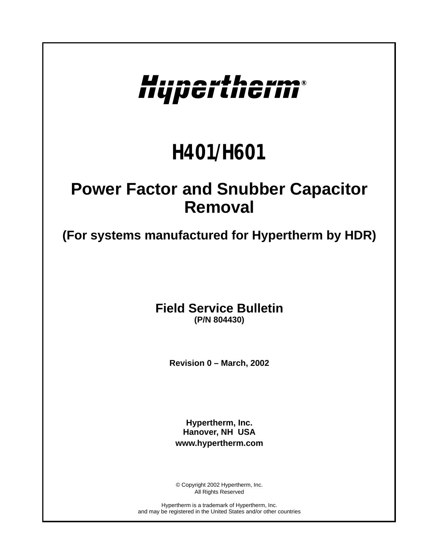# Hupertherm®

## *H401/H601*

### **Power Factor and Snubber Capacitor Removal**

**(For systems manufactured for Hypertherm by HDR)**

**Field Service Bulletin (P/N 804430)**

**Revision 0 – March, 2002**

**Hypertherm, Inc. Hanover, NH USA www.hypertherm.com**

© Copyright 2002 Hypertherm, Inc. All Rights Reserved

Hypertherm is a trademark of Hypertherm, Inc. and may be registered in the United States and/or other countries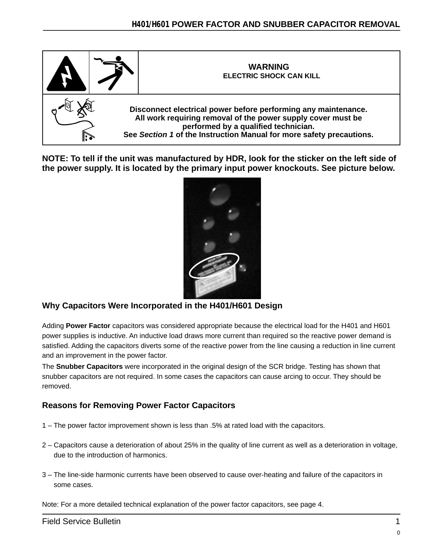

**NOTE: To tell if the unit was manufactured by HDR, look for the sticker on the left side of the power supply. It is located by the primary input power knockouts. See picture below.**



#### **Why Capacitors Were Incorporated in the H401/H601 Design**

Adding **Power Factor** capacitors was considered appropriate because the electrical load for the H401 and H601 power supplies is inductive. An inductive load draws more current than required so the reactive power demand is satisfied. Adding the capacitors diverts some of the reactive power from the line causing a reduction in line current and an improvement in the power factor.

The **Snubber Capacitors** were incorporated in the original design of the SCR bridge. Testing has shown that snubber capacitors are not required. In some cases the capacitors can cause arcing to occur. They should be removed.

#### **Reasons for Removing Power Factor Capacitors**

- 1 The power factor improvement shown is less than .5% at rated load with the capacitors.
- 2 Capacitors cause a deterioration of about 25% in the quality of line current as well as a deterioration in voltage, due to the introduction of harmonics.
- 3 The line-side harmonic currents have been observed to cause over-heating and failure of the capacitors in some cases.

Note: For a more detailed technical explanation of the power factor capacitors, see page 4.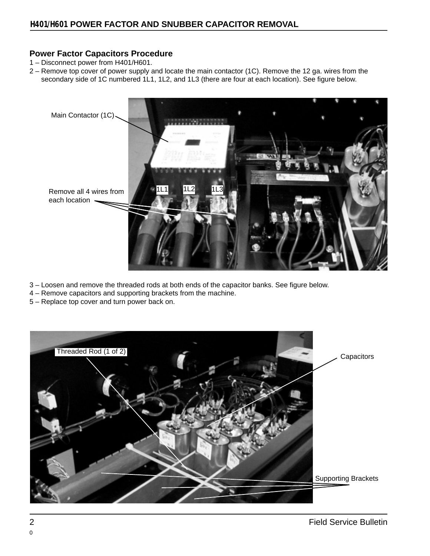#### **Power Factor Capacitors Procedure**

- 1 Disconnect power from H401/H601.
- 2 Remove top cover of power supply and locate the main contactor (1C). Remove the 12 ga. wires from the secondary side of 1C numbered 1L1, 1L2, and 1L3 (there are four at each location). See figure below.



- 3 Loosen and remove the threaded rods at both ends of the capacitor banks. See figure below.
- 4 Remove capacitors and supporting brackets from the machine.
- 5 Replace top cover and turn power back on.

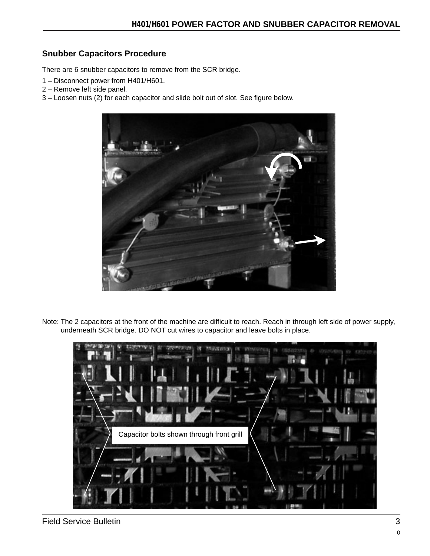#### **Snubber Capacitors Procedure**

There are 6 snubber capacitors to remove from the SCR bridge.

- 1 Disconnect power from H401/H601.
- 2 Remove left side panel.
- 3 Loosen nuts (2) for each capacitor and slide bolt out of slot. See figure below.



Note: The 2 capacitors at the front of the machine are difficult to reach. Reach in through left side of power supply, underneath SCR bridge. DO NOT cut wires to capacitor and leave bolts in place.



Field Service Bulletin 3